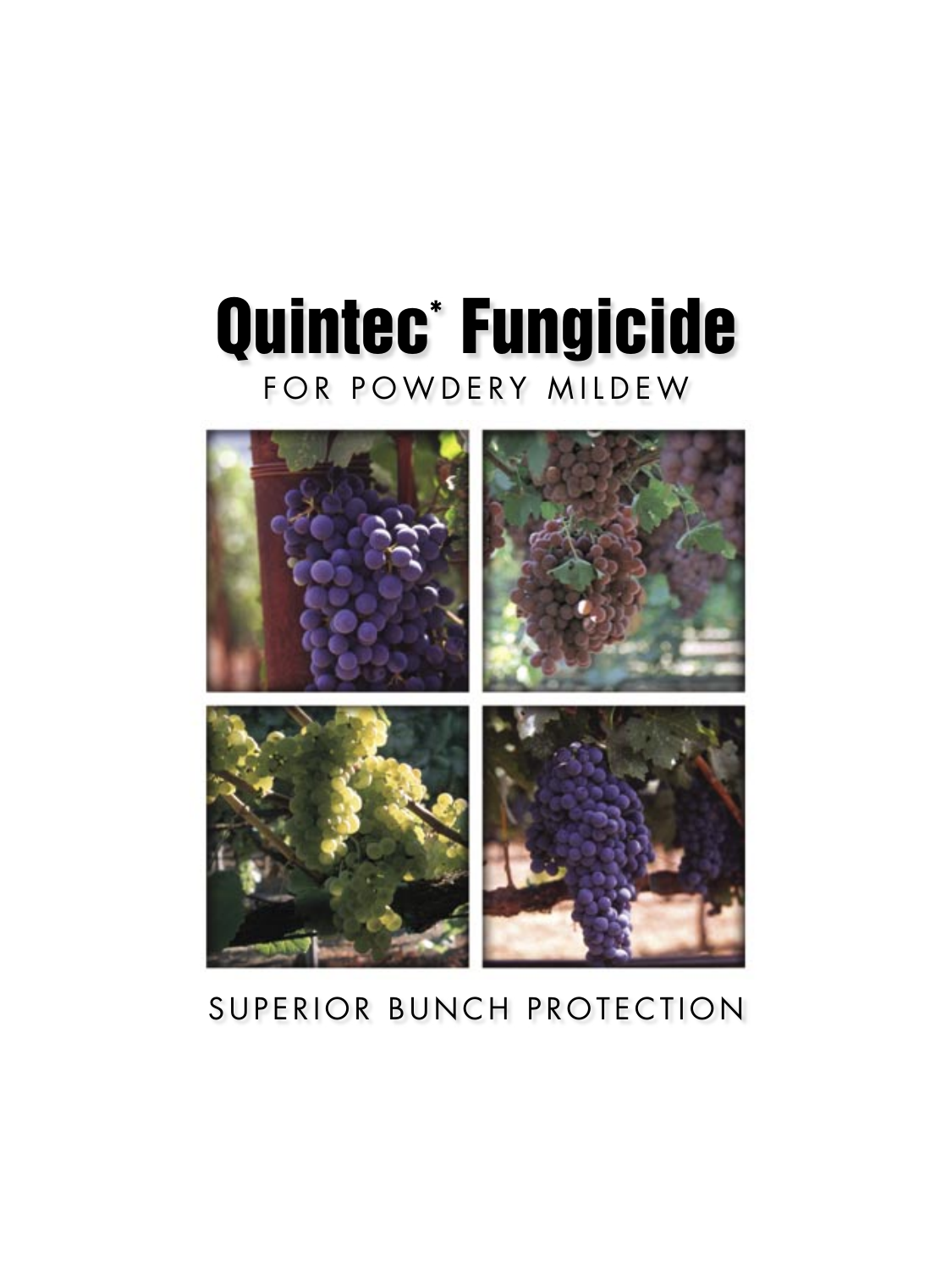# Quintec\* Fungicide FOR POWDERY MILDEW



# SUPERIOR BUNCH PROTECTION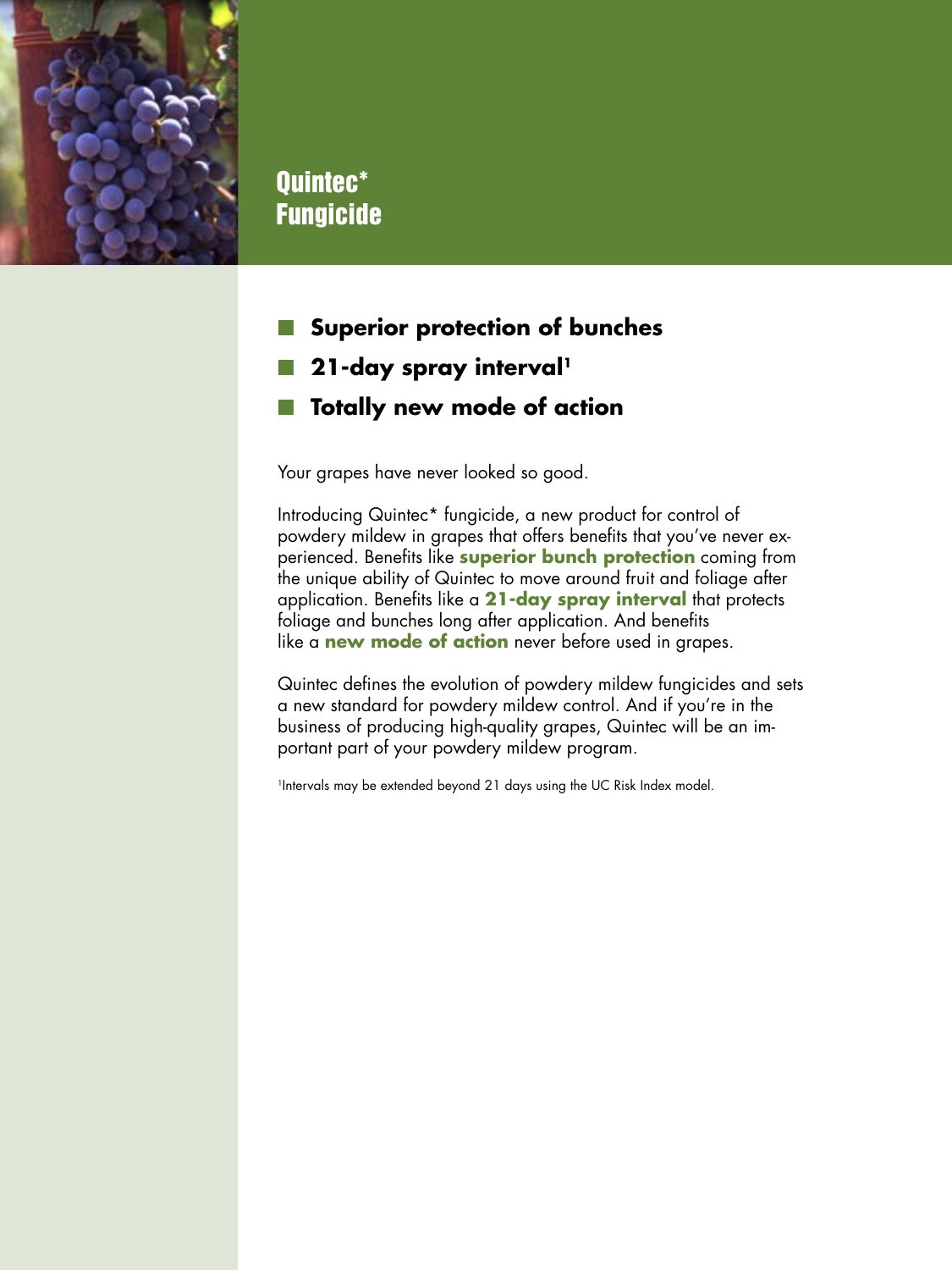

# Quintec\* Fungicide

- **Superior protection of bunches**
- **21-day spray interval<sup>1</sup>**
- **T** Totally new mode of action

Your grapes have never looked so good.

Introducing Quintec\* fungicide, a new product for control of powdery mildew in grapes that offers benefits that you've never experienced. Benefits like **superior bunch protection** coming from the unique ability of Quintec to move around fruit and foliage after application. Benefits like a **21-day spray interval** that protects foliage and bunches long after application. And benefits like a **new mode of action** never before used in grapes.

Quintec defines the evolution of powdery mildew fungicides and sets a new standard for powdery mildew control. And if you're in the business of producing high-quality grapes, Quintec will be an important part of your powdery mildew program.

<sup>1</sup>Intervals may be extended beyond 21 days using the UC Risk Index model.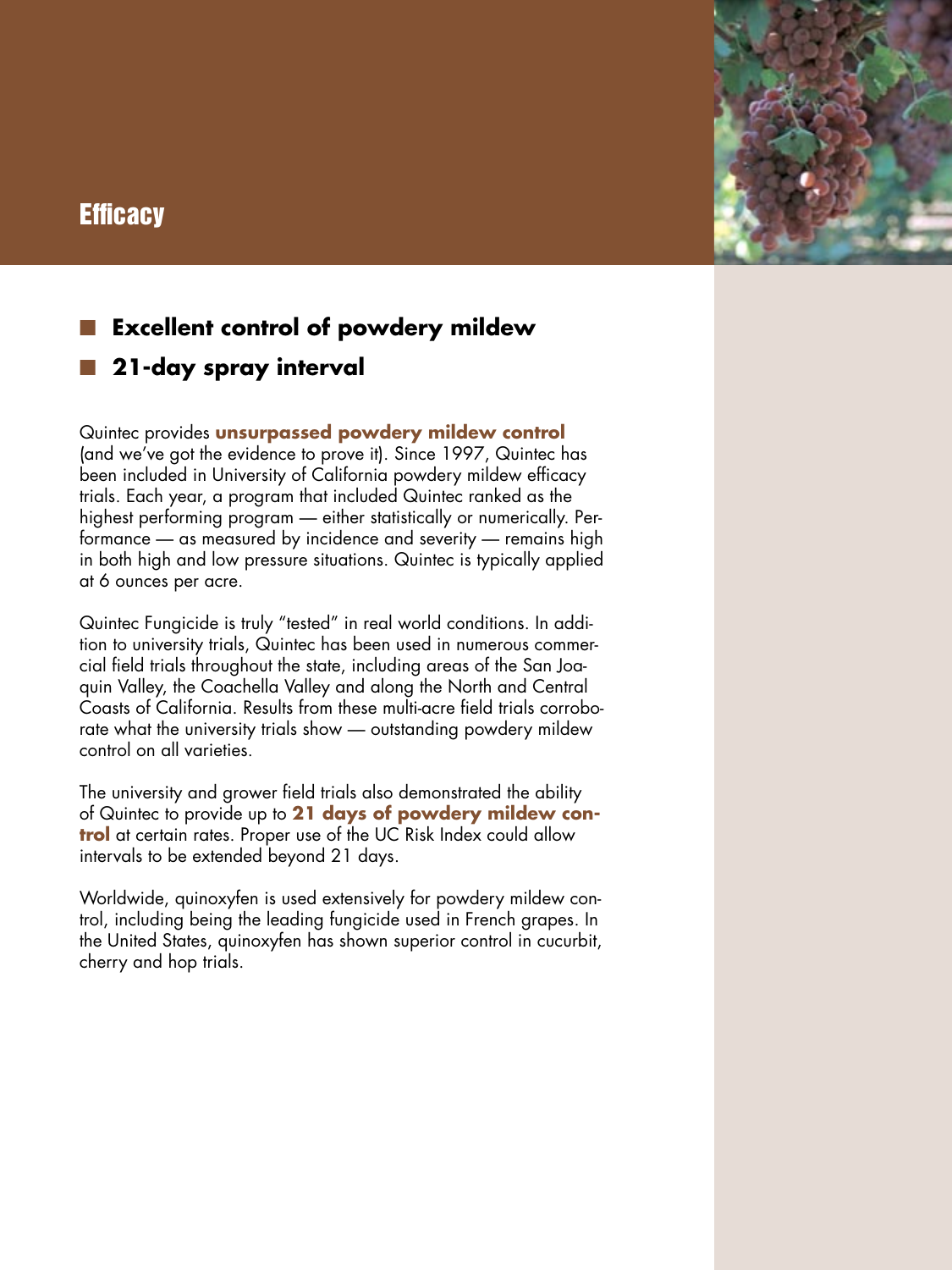# **Efficacy**



# **Excellent control of powdery mildew**

**21-day spray interval**

Quintec provides **unsurpassed powdery mildew control** (and we've got the evidence to prove it). Since 1997, Quintec has been included in University of California powdery mildew efficacy trials. Each year, a program that included Quintec ranked as the highest performing program — either statistically or numerically. Performance — as measured by incidence and severity — remains high in both high and low pressure situations. Quintec is typically applied at 6 ounces per acre.

Quintec Fungicide is truly "tested" in real world conditions. In addition to university trials, Quintec has been used in numerous commercial field trials throughout the state, including areas of the San Joaquin Valley, the Coachella Valley and along the North and Central Coasts of California. Results from these multi-acre field trials corroborate what the university trials show — outstanding powdery mildew control on all varieties.

The university and grower field trials also demonstrated the ability of Quintec to provide up to **21 days of powdery mildew control** at certain rates. Proper use of the UC Risk Index could allow intervals to be extended beyond 21 days.

Worldwide, quinoxyfen is used extensively for powdery mildew control, including being the leading fungicide used in French grapes. In the United States, quinoxyfen has shown superior control in cucurbit, cherry and hop trials.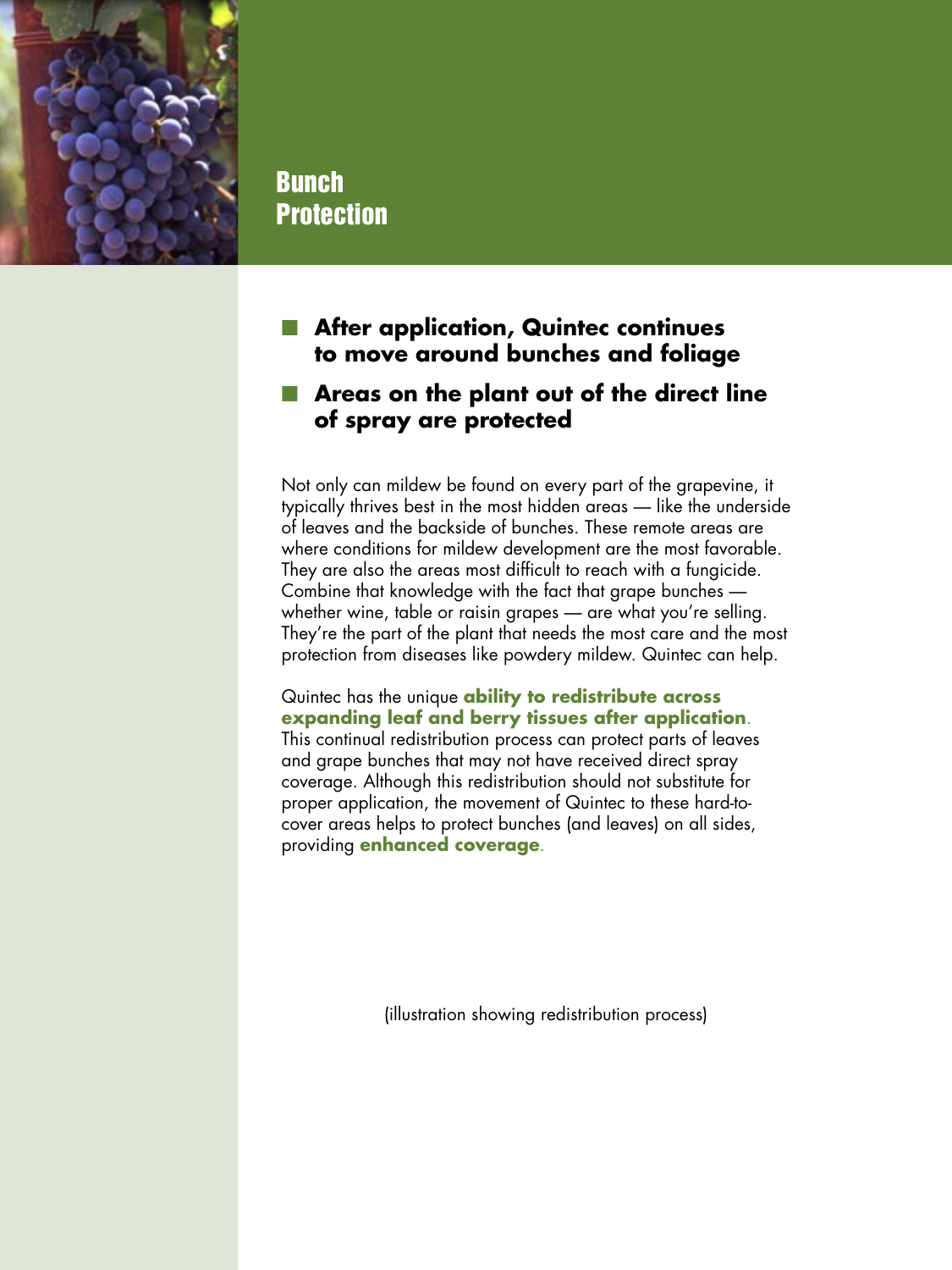

# Bunch Protection

## **After application, Quintec continues to move around bunches and foliage**

#### **Areas on the plant out of the direct line of spray are protected**

Not only can mildew be found on every part of the grapevine, it typically thrives best in the most hidden areas — like the underside of leaves and the backside of bunches. These remote areas are where conditions for mildew development are the most favorable. They are also the areas most difficult to reach with a fungicide. Combine that knowledge with the fact that grape bunches whether wine, table or raisin grapes — are what you're selling. They're the part of the plant that needs the most care and the most protection from diseases like powdery mildew. Quintec can help.

Quintec has the unique **ability to redistribute across expanding leaf and berry tissues after application**. This continual redistribution process can protect parts of leaves and grape bunches that may not have received direct spray coverage. Although this redistribution should not substitute for proper application, the movement of Quintec to these hard-tocover areas helps to protect bunches (and leaves) on all sides, providing **enhanced coverage**.

(illustration showing redistribution process)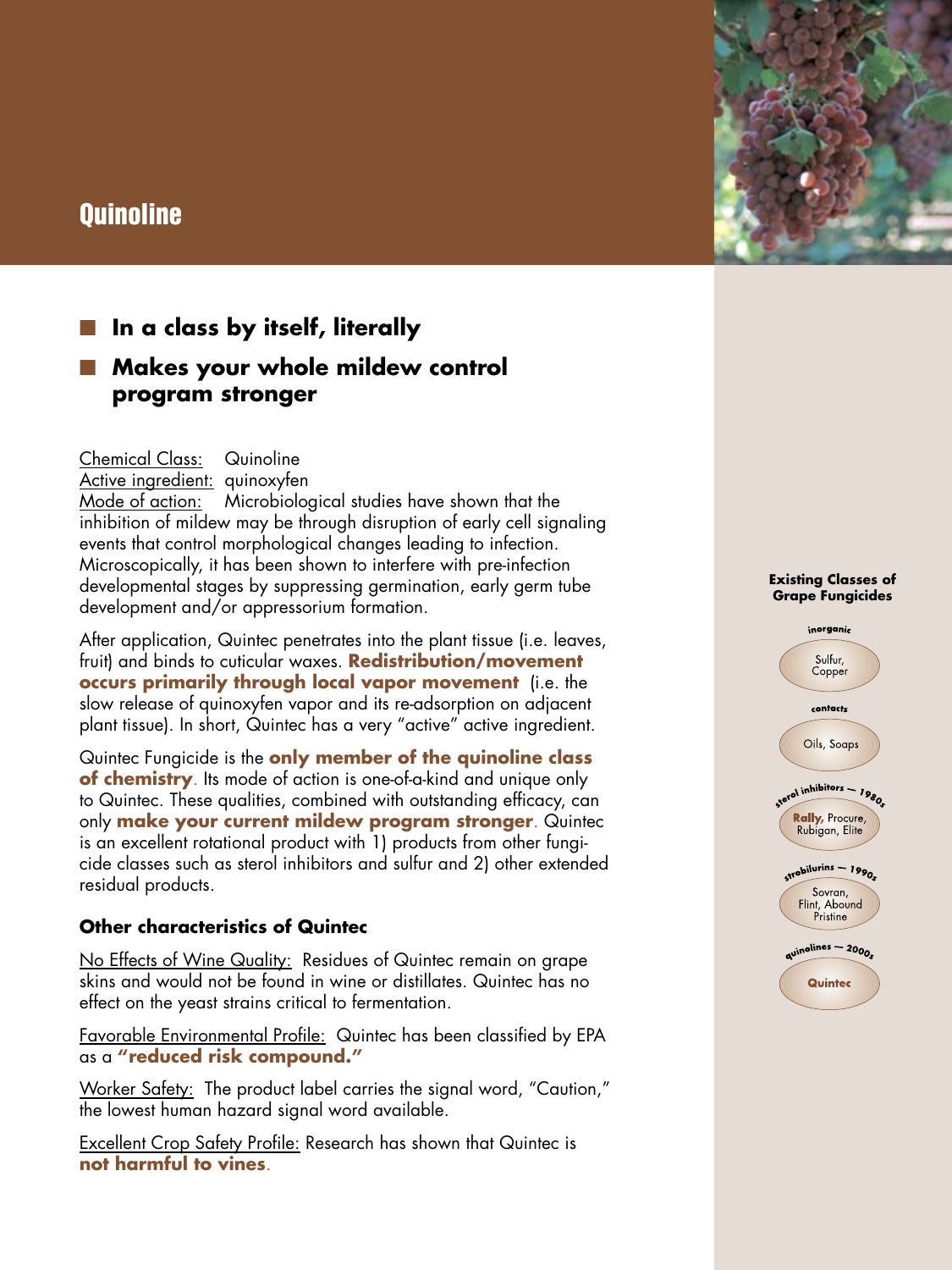# **Quinoline**



## **Makes your whole mildew control program stronger**

Chemical Class: Quinoline Active ingredient: quinoxyfen Mode of action: Microbiological studies have shown that the inhibition of mildew may be through disruption of early cell signaling events that control morphological changes leading to infection. Microscopically, it has been shown to interfere with pre-infection developmental stages by suppressing germination, early germ tube development and/or appressorium formation.

After application, Quintec penetrates into the plant tissue (i.e. leaves, fruit) and binds to cuticular waxes. **Redistribution/movement occurs primarily through local vapor movement** (i.e. the slow release of quinoxyfen vapor and its re-adsorption on adjacent plant tissue). In short, Quintec has a very "active" active ingredient.

Quintec Fungicide is the **only member of the quinoline class of chemistry**. Its mode of action is one-of-a-kind and unique only to Quintec. These qualities, combined with outstanding efficacy, can only **make your current mildew program stronger**. Quintec is an excellent rotational product with 1) products from other fungicide classes such as sterol inhibitors and sulfur and 2) other extended residual products.

#### **Other characteristics of Quintec**

No Effects of Wine Quality: Residues of Quintec remain on grape skins and would not be found in wine or distillates. Quintec has no effect on the yeast strains critical to fermentation.

Favorable Environmental Profile: Quintec has been classified by EPA as a **"reduced risk compound."**

Worker Safety: The product label carries the signal word, "Caution," the lowest human hazard signal word available.

Excellent Crop Safety Profile: Research has shown that Quintec is **not harmful to vines**.

#### **Existing Classes of Grape Fungicides**